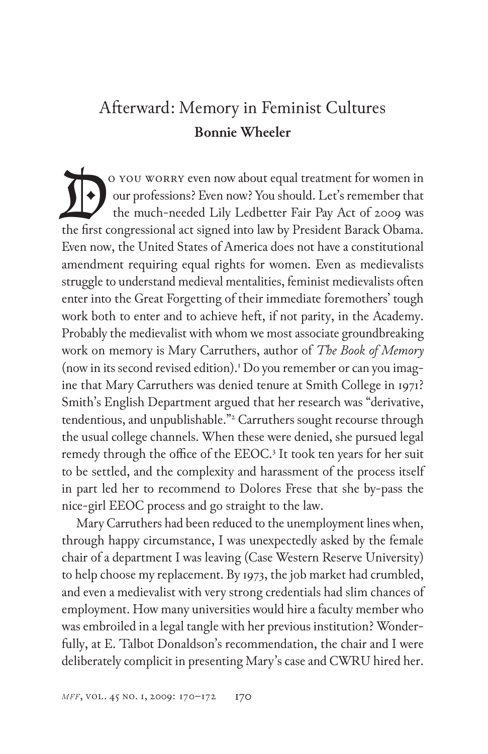## Afterward: Memory in Feminist Cultures **Bonnie Wheeler**

 o you worry even now about equal treatment for women in our professions? Even now? You should. Let's remember that the much-needed Lily Ledbetter Fair Pay Act of 2009 was The first congressions? Even now about equal treatment for women in<br>the much-needed Lily Ledbetter Fair Pay Act of 2009 was<br>the first congressional act signed into law by President Barack Obama. Even now, the United States of America does not have a constitutional amendment requiring equal rights for women. Even as medievalists struggle to understand medieval mentalities, feminist medievalists often enter into the Great Forgetting of their immediate foremothers' tough work both to enter and to achieve heft, if not parity, in the Academy. Probably the medievalist with whom we most associate groundbreaking work on memory is Mary Carruthers, author of *The Book of Memory*  (now in its second revised edition).<sup>1</sup> Do you remember or can you imagine that Mary Carruthers was denied tenure at Smith College in 1971? Smith's English Department argued that her research was "derivative, tendentious, and unpublishable."<sup>2</sup> Carruthers sought recourse through the usual college channels. When these were denied, she pursued legal remedy through the office of the EEOC.<sup>3</sup> It took ten years for her suit to be settled, and the complexity and harassment of the process itself in part led her to recommend to Dolores Frese that she by-pass the nice-girl EEOC process and go straight to the law.

Mary Carruthers had been reduced to the unemployment lines when, through happy circumstance, I was unexpectedly asked by the female chair of a department I was leaving (Case Western Reserve University) to help choose my replacement. By 1973, the job market had crumbled, and even a medievalist with very strong credentials had slim chances of employment. How many universities would hire a faculty member who was embroiled in a legal tangle with her previous institution? Wonderfully, at E. Talbot Donaldson's recommendation, the chair and I were deliberately complicit in presenting Mary's case and CWRU hired her.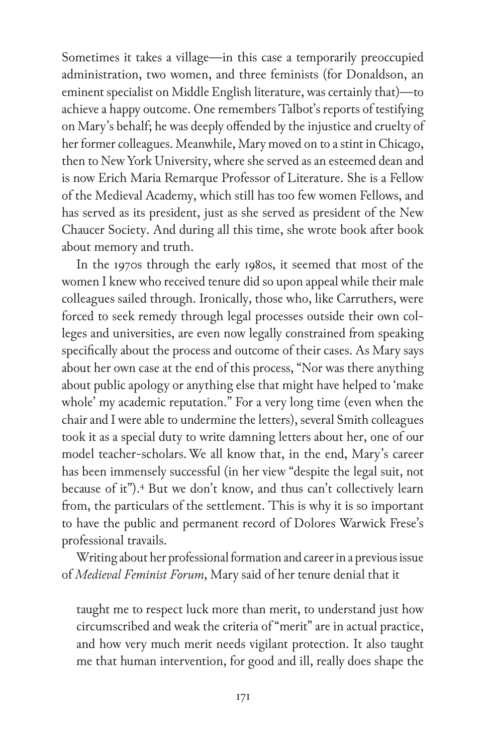Sometimes it takes a village—in this case a temporarily preoccupied administration, two women, and three feminists (for Donaldson, an eminent specialist on Middle English literature, was certainly that)—to achieve a happy outcome. One remembers Talbot's reports of testifying on Mary's behalf; he was deeply offended by the injustice and cruelty of her former colleagues. Meanwhile, Mary moved on to a stint in Chicago, then to New York University, where she served as an esteemed dean and is now Erich Maria Remarque Professor of Literature. She is a Fellow of the Medieval Academy, which still has too few women Fellows, and has served as its president, just as she served as president of the New Chaucer Society. And during all this time, she wrote book after book about memory and truth.

In the 1970s through the early 1980s, it seemed that most of the women I knew who received tenure did so upon appeal while their male colleagues sailed through. Ironically, those who, like Carruthers, were forced to seek remedy through legal processes outside their own colleges and universities, are even now legally constrained from speaking specifically about the process and outcome of their cases. As Mary says about her own case at the end of this process, "Nor was there anything about public apology or anything else that might have helped to 'make whole' my academic reputation." For a very long time (even when the chair and I were able to undermine the letters), several Smith colleagues took it as a special duty to write damning letters about her, one of our model teacher-scholars. We all know that, in the end, Mary's career has been immensely successful (in her view "despite the legal suit, not because of it").<sup>4</sup> But we don't know, and thus can't collectively learn from, the particulars of the settlement. This is why it is so important to have the public and permanent record of Dolores Warwick Frese's professional travails.

Writing about her professional formation and career in a previous issue of *Medieval Feminist Forum*, Mary said of her tenure denial that it

taught me to respect luck more than merit, to understand just how circumscribed and weak the criteria of "merit" are in actual practice, and how very much merit needs vigilant protection. It also taught me that human intervention, for good and ill, really does shape the